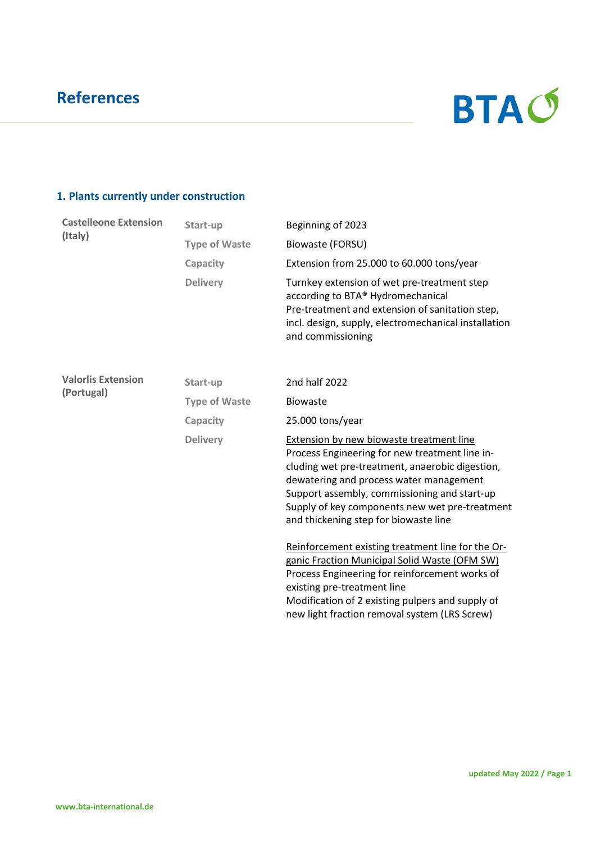

### **1. Plants currently under construction**

| <b>Castelleone Extension</b><br>(Italy) | Start-up             | Beginning of 2023                                                                                                                                                                                                                                                                                                                   |  |
|-----------------------------------------|----------------------|-------------------------------------------------------------------------------------------------------------------------------------------------------------------------------------------------------------------------------------------------------------------------------------------------------------------------------------|--|
|                                         | <b>Type of Waste</b> | Biowaste (FORSU)                                                                                                                                                                                                                                                                                                                    |  |
|                                         | Capacity             | Extension from 25.000 to 60.000 tons/year                                                                                                                                                                                                                                                                                           |  |
|                                         | <b>Delivery</b>      | Turnkey extension of wet pre-treatment step<br>according to BTA® Hydromechanical<br>Pre-treatment and extension of sanitation step,<br>incl. design, supply, electromechanical installation<br>and commissioning                                                                                                                    |  |
| <b>Valorlis Extension</b>               | Start-up             | 2nd half 2022                                                                                                                                                                                                                                                                                                                       |  |
| (Portugal)                              | <b>Type of Waste</b> | <b>Biowaste</b>                                                                                                                                                                                                                                                                                                                     |  |
|                                         | Capacity             | 25.000 tons/year                                                                                                                                                                                                                                                                                                                    |  |
|                                         | <b>Delivery</b>      | Extension by new biowaste treatment line<br>Process Engineering for new treatment line in-<br>cluding wet pre-treatment, anaerobic digestion,<br>dewatering and process water management<br>Support assembly, commissioning and start-up<br>Supply of key components new wet pre-treatment<br>and thickening step for biowaste line |  |
|                                         |                      | Reinforcement existing treatment line for the Or-<br>ganic Fraction Municipal Solid Waste (OFM SW)<br>Process Engineering for reinforcement works of<br>existing pre-treatment line<br>Modification of 2 existing pulpers and supply of<br>new light fraction removal system (LRS Screw)                                            |  |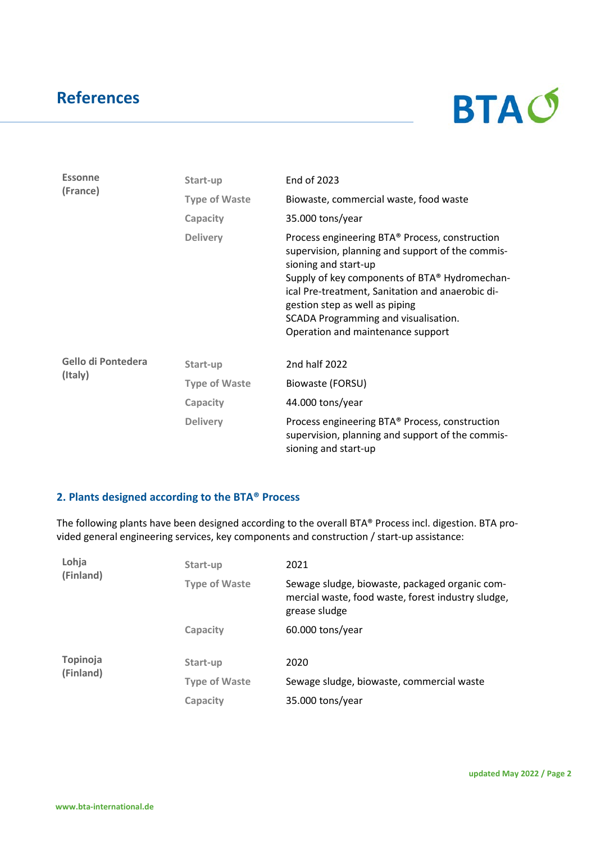

| <b>Essonne</b><br>(France) | Start-up             | End of 2023                                                                                                                                                                                                                                                                                                                                    |  |
|----------------------------|----------------------|------------------------------------------------------------------------------------------------------------------------------------------------------------------------------------------------------------------------------------------------------------------------------------------------------------------------------------------------|--|
|                            | <b>Type of Waste</b> | Biowaste, commercial waste, food waste                                                                                                                                                                                                                                                                                                         |  |
|                            | Capacity             | 35.000 tons/year                                                                                                                                                                                                                                                                                                                               |  |
|                            | <b>Delivery</b>      | Process engineering BTA® Process, construction<br>supervision, planning and support of the commis-<br>sioning and start-up<br>Supply of key components of BTA® Hydromechan-<br>ical Pre-treatment, Sanitation and anaerobic di-<br>gestion step as well as piping<br>SCADA Programming and visualisation.<br>Operation and maintenance support |  |
| Gello di Pontedera         | Start-up             | 2nd half 2022                                                                                                                                                                                                                                                                                                                                  |  |
| (Italy)                    | <b>Type of Waste</b> | Biowaste (FORSU)                                                                                                                                                                                                                                                                                                                               |  |
|                            | Capacity             | 44.000 tons/year                                                                                                                                                                                                                                                                                                                               |  |
|                            | <b>Delivery</b>      | Process engineering BTA® Process, construction<br>supervision, planning and support of the commis-<br>sioning and start-up                                                                                                                                                                                                                     |  |

#### **2. Plants designed according to the BTA® Process**

The following plants have been designed according to the overall BTA® Process incl. digestion. BTA provided general engineering services, key components and construction / start-up assistance:

| Lohja<br>(Finland)    | Start-up             | 2021                                                                                                                  |
|-----------------------|----------------------|-----------------------------------------------------------------------------------------------------------------------|
|                       | <b>Type of Waste</b> | Sewage sludge, biowaste, packaged organic com-<br>mercial waste, food waste, forest industry sludge,<br>grease sludge |
|                       | Capacity             | $60.000$ tons/year                                                                                                    |
| Topinoja<br>(Finland) | Start-up             | 2020                                                                                                                  |
|                       | <b>Type of Waste</b> | Sewage sludge, biowaste, commercial waste                                                                             |
|                       | Capacity             | 35.000 tons/year                                                                                                      |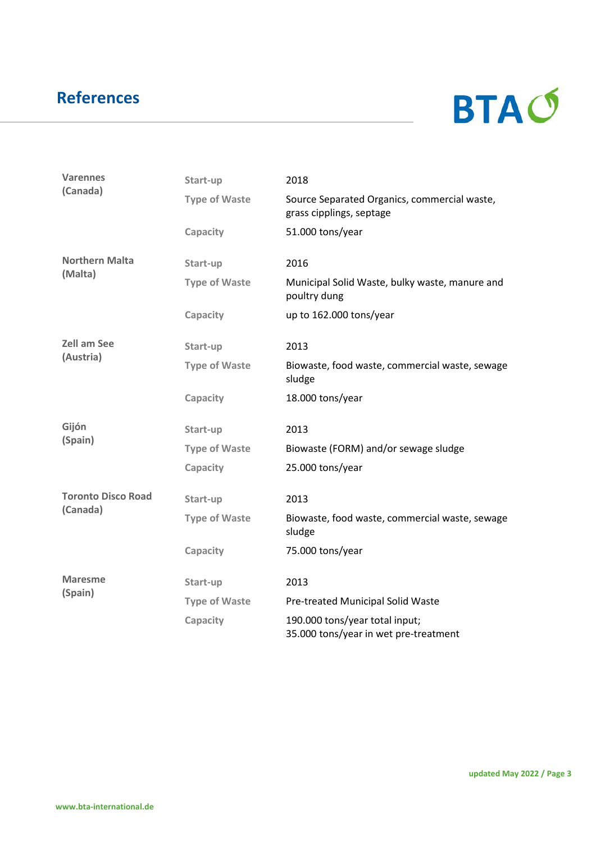

| <b>Varennes</b><br>(Canada) | Start-up             | 2018                                                                     |
|-----------------------------|----------------------|--------------------------------------------------------------------------|
|                             | <b>Type of Waste</b> | Source Separated Organics, commercial waste,<br>grass cipplings, septage |
|                             | Capacity             | 51.000 tons/year                                                         |
| <b>Northern Malta</b>       | Start-up             | 2016                                                                     |
| (Malta)                     | <b>Type of Waste</b> | Municipal Solid Waste, bulky waste, manure and<br>poultry dung           |
|                             | Capacity             | up to 162.000 tons/year                                                  |
| <b>Zell am See</b>          | Start-up             | 2013                                                                     |
| (Austria)                   | <b>Type of Waste</b> | Biowaste, food waste, commercial waste, sewage<br>sludge                 |
|                             | Capacity             | 18.000 tons/year                                                         |
| Gijón<br>(Spain)            | Start-up             | 2013                                                                     |
|                             | <b>Type of Waste</b> | Biowaste (FORM) and/or sewage sludge                                     |
|                             | Capacity             | 25.000 tons/year                                                         |
| <b>Toronto Disco Road</b>   | Start-up             | 2013                                                                     |
| (Canada)                    | <b>Type of Waste</b> | Biowaste, food waste, commercial waste, sewage<br>sludge                 |
|                             | Capacity             | 75.000 tons/year                                                         |
| <b>Maresme</b>              | Start-up             | 2013                                                                     |
| (Spain)                     | <b>Type of Waste</b> | Pre-treated Municipal Solid Waste                                        |
|                             | Capacity             | 190.000 tons/year total input;<br>35.000 tons/year in wet pre-treatment  |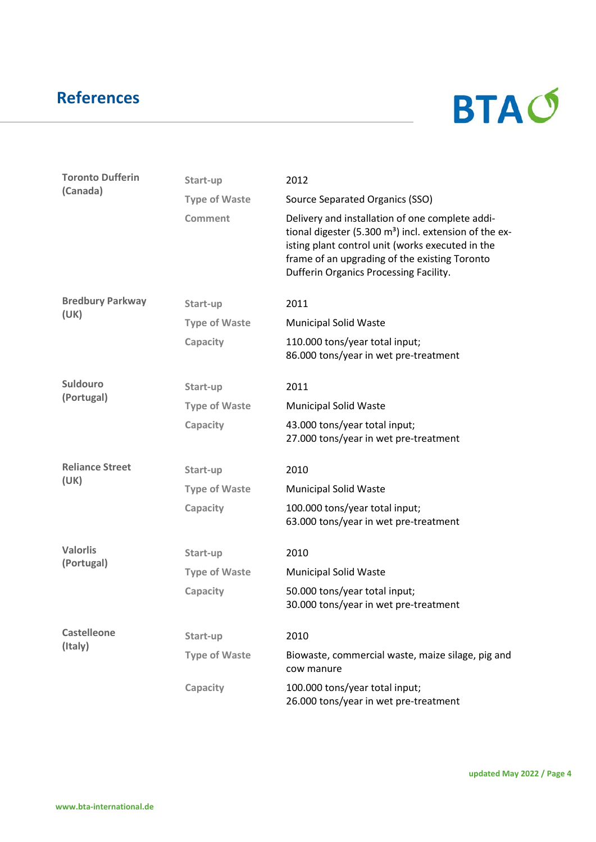

| <b>Toronto Dufferin</b> | Start-up             | 2012                                                                                                                                                                                                                                                       |  |
|-------------------------|----------------------|------------------------------------------------------------------------------------------------------------------------------------------------------------------------------------------------------------------------------------------------------------|--|
| (Canada)                | <b>Type of Waste</b> | Source Separated Organics (SSO)                                                                                                                                                                                                                            |  |
|                         | <b>Comment</b>       | Delivery and installation of one complete addi-<br>tional digester (5.300 $m3$ ) incl. extension of the ex-<br>isting plant control unit (works executed in the<br>frame of an upgrading of the existing Toronto<br>Dufferin Organics Processing Facility. |  |
| <b>Bredbury Parkway</b> | Start-up             | 2011                                                                                                                                                                                                                                                       |  |
| (UK)                    | <b>Type of Waste</b> | <b>Municipal Solid Waste</b>                                                                                                                                                                                                                               |  |
|                         | Capacity             | 110.000 tons/year total input;<br>86.000 tons/year in wet pre-treatment                                                                                                                                                                                    |  |
| Suldouro                | Start-up             | 2011                                                                                                                                                                                                                                                       |  |
| (Portugal)              | <b>Type of Waste</b> | <b>Municipal Solid Waste</b>                                                                                                                                                                                                                               |  |
|                         | Capacity             | 43.000 tons/year total input;<br>27.000 tons/year in wet pre-treatment                                                                                                                                                                                     |  |
| <b>Reliance Street</b>  | Start-up             | 2010                                                                                                                                                                                                                                                       |  |
| (UK)                    | <b>Type of Waste</b> | <b>Municipal Solid Waste</b>                                                                                                                                                                                                                               |  |
|                         | Capacity             | 100.000 tons/year total input;<br>63.000 tons/year in wet pre-treatment                                                                                                                                                                                    |  |
| <b>Valorlis</b>         | Start-up             | 2010                                                                                                                                                                                                                                                       |  |
| (Portugal)              | <b>Type of Waste</b> | <b>Municipal Solid Waste</b>                                                                                                                                                                                                                               |  |
|                         | Capacity             | 50.000 tons/year total input;<br>30.000 tons/year in wet pre-treatment                                                                                                                                                                                     |  |
| <b>Castelleone</b>      | Start-up             | 2010                                                                                                                                                                                                                                                       |  |
| (Italy)                 | <b>Type of Waste</b> | Biowaste, commercial waste, maize silage, pig and<br>cow manure                                                                                                                                                                                            |  |
|                         | Capacity             | 100.000 tons/year total input;<br>26.000 tons/year in wet pre-treatment                                                                                                                                                                                    |  |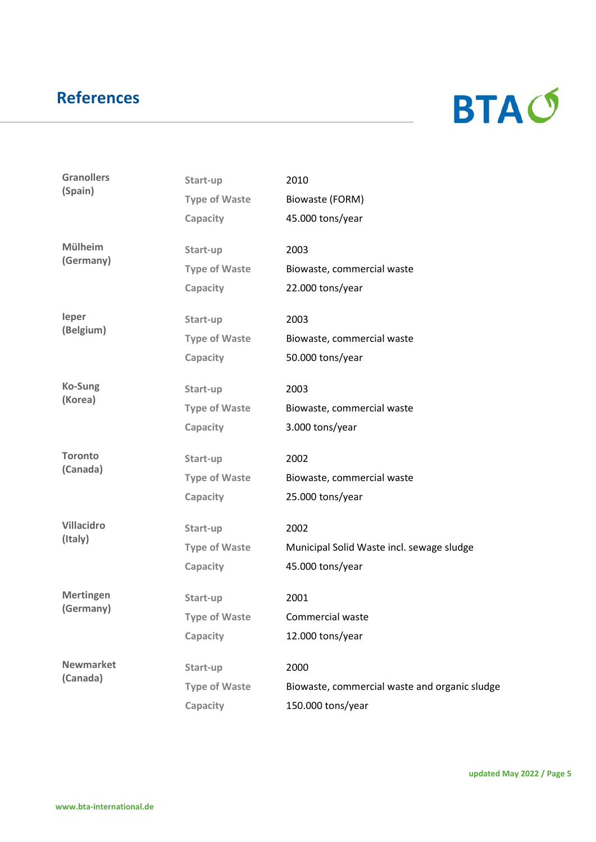

| <b>Granollers</b><br>(Spain) | Start-up             | 2010                                          |
|------------------------------|----------------------|-----------------------------------------------|
|                              | <b>Type of Waste</b> | Biowaste (FORM)                               |
|                              | Capacity             | 45.000 tons/year                              |
| <b>Mülheim</b>               | Start-up             | 2003                                          |
| (Germany)                    | <b>Type of Waste</b> | Biowaste, commercial waste                    |
|                              | Capacity             | 22.000 tons/year                              |
| leper                        | Start-up             | 2003                                          |
| (Belgium)                    | <b>Type of Waste</b> | Biowaste, commercial waste                    |
|                              | Capacity             | 50.000 tons/year                              |
| <b>Ko-Sung</b>               | Start-up             | 2003                                          |
| (Korea)                      | <b>Type of Waste</b> | Biowaste, commercial waste                    |
|                              | Capacity             | 3.000 tons/year                               |
| <b>Toronto</b>               | Start-up             | 2002                                          |
| (Canada)                     | <b>Type of Waste</b> | Biowaste, commercial waste                    |
|                              | Capacity             | 25.000 tons/year                              |
| <b>Villacidro</b>            | Start-up             | 2002                                          |
| (Italy)                      | <b>Type of Waste</b> | Municipal Solid Waste incl. sewage sludge     |
|                              | Capacity             | 45.000 tons/year                              |
| <b>Mertingen</b>             | Start-up             | 2001                                          |
| (Germany)                    | <b>Type of Waste</b> | Commercial waste                              |
|                              | Capacity             | 12.000 tons/year                              |
| <b>Newmarket</b>             | Start-up             | 2000                                          |
| (Canada)                     | <b>Type of Waste</b> | Biowaste, commercial waste and organic sludge |
|                              | Capacity             | 150.000 tons/year                             |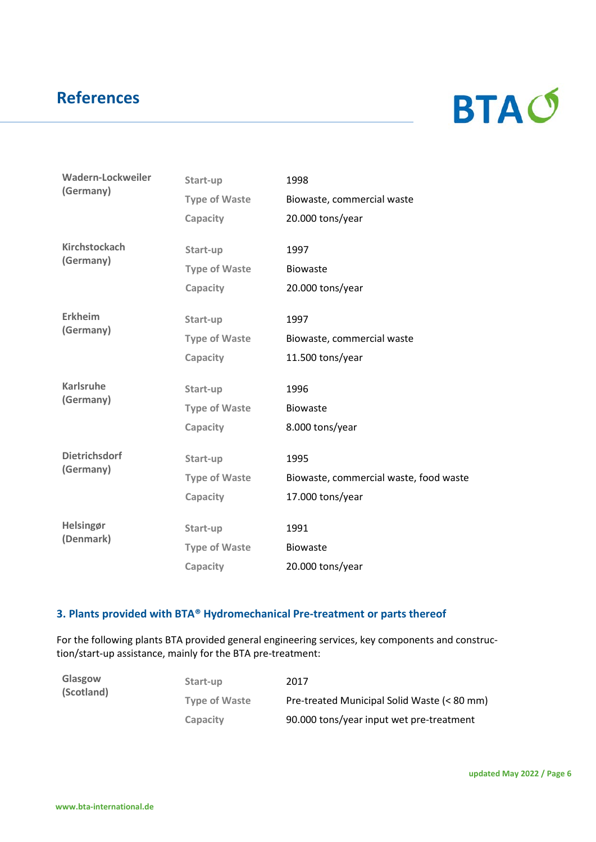

| Wadern-Lockweiler<br>(Germany)    | Start-up             | 1998                                   |
|-----------------------------------|----------------------|----------------------------------------|
|                                   | <b>Type of Waste</b> | Biowaste, commercial waste             |
|                                   | Capacity             | 20.000 tons/year                       |
| <b>Kirchstockach</b>              | Start-up             | 1997                                   |
| (Germany)                         | <b>Type of Waste</b> | <b>Biowaste</b>                        |
|                                   | Capacity             | 20.000 tons/year                       |
| <b>Erkheim</b>                    | Start-up             | 1997                                   |
| (Germany)                         | <b>Type of Waste</b> | Biowaste, commercial waste             |
|                                   | Capacity             | 11.500 tons/year                       |
| <b>Karlsruhe</b>                  | Start-up             | 1996                                   |
| (Germany)                         | <b>Type of Waste</b> | <b>Biowaste</b>                        |
|                                   | Capacity             | 8.000 tons/year                        |
| <b>Dietrichsdorf</b><br>(Germany) | Start-up             | 1995                                   |
|                                   | <b>Type of Waste</b> | Biowaste, commercial waste, food waste |
|                                   | Capacity             | 17.000 tons/year                       |
| Helsingør                         | Start-up             | 1991                                   |
| (Denmark)                         | <b>Type of Waste</b> | <b>Biowaste</b>                        |
|                                   | Capacity             | 20.000 tons/year                       |

#### **3. Plants provided with BTA® Hydromechanical Pre-treatment or parts thereof**

For the following plants BTA provided general engineering services, key components and construction/start-up assistance, mainly for the BTA pre-treatment:

| Glasgow<br>(Scotland) | Start-up             | 2017                                        |
|-----------------------|----------------------|---------------------------------------------|
|                       | <b>Type of Waste</b> | Pre-treated Municipal Solid Waste (< 80 mm) |
|                       | <b>Capacity</b>      | 90.000 tons/year input wet pre-treatment    |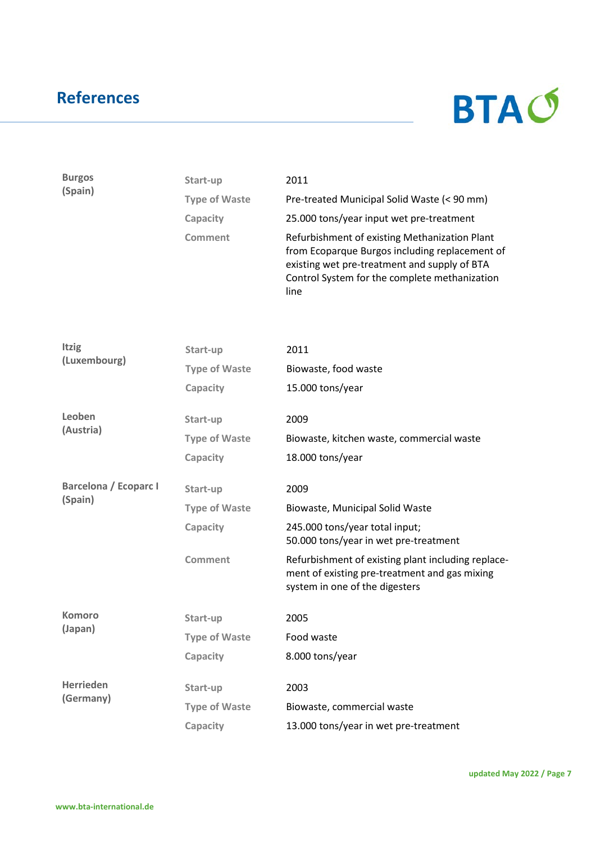

| <b>Burgos</b><br>(Spain)     | Start-up             | 2011                                                                                                                                                                                                     |
|------------------------------|----------------------|----------------------------------------------------------------------------------------------------------------------------------------------------------------------------------------------------------|
|                              | <b>Type of Waste</b> | Pre-treated Municipal Solid Waste (< 90 mm)                                                                                                                                                              |
|                              | Capacity             | 25.000 tons/year input wet pre-treatment                                                                                                                                                                 |
|                              | Comment              | Refurbishment of existing Methanization Plant<br>from Ecoparque Burgos including replacement of<br>existing wet pre-treatment and supply of BTA<br>Control System for the complete methanization<br>line |
|                              |                      |                                                                                                                                                                                                          |
| <b>Itzig</b>                 | Start-up             | 2011                                                                                                                                                                                                     |
| (Luxembourg)                 | <b>Type of Waste</b> | Biowaste, food waste                                                                                                                                                                                     |
|                              | Capacity             | 15.000 tons/year                                                                                                                                                                                         |
| Leoben                       | Start-up             | 2009                                                                                                                                                                                                     |
| (Austria)                    | <b>Type of Waste</b> | Biowaste, kitchen waste, commercial waste                                                                                                                                                                |
|                              | Capacity             | 18.000 tons/year                                                                                                                                                                                         |
| <b>Barcelona / Ecoparc I</b> | Start-up             | 2009                                                                                                                                                                                                     |
| (Spain)                      | <b>Type of Waste</b> | Biowaste, Municipal Solid Waste                                                                                                                                                                          |
|                              | Capacity             | 245.000 tons/year total input;<br>50.000 tons/year in wet pre-treatment                                                                                                                                  |
|                              | <b>Comment</b>       | Refurbishment of existing plant including replace-<br>ment of existing pre-treatment and gas mixing<br>system in one of the digesters                                                                    |
| Komoro                       | Start-up             | 2005                                                                                                                                                                                                     |
| (Japan)                      | <b>Type of Waste</b> | Food waste                                                                                                                                                                                               |
|                              | Capacity             | 8.000 tons/year                                                                                                                                                                                          |
| <b>Herrieden</b>             | Start-up             | 2003                                                                                                                                                                                                     |
| (Germany)                    | <b>Type of Waste</b> | Biowaste, commercial waste                                                                                                                                                                               |
|                              | Capacity             | 13.000 tons/year in wet pre-treatment                                                                                                                                                                    |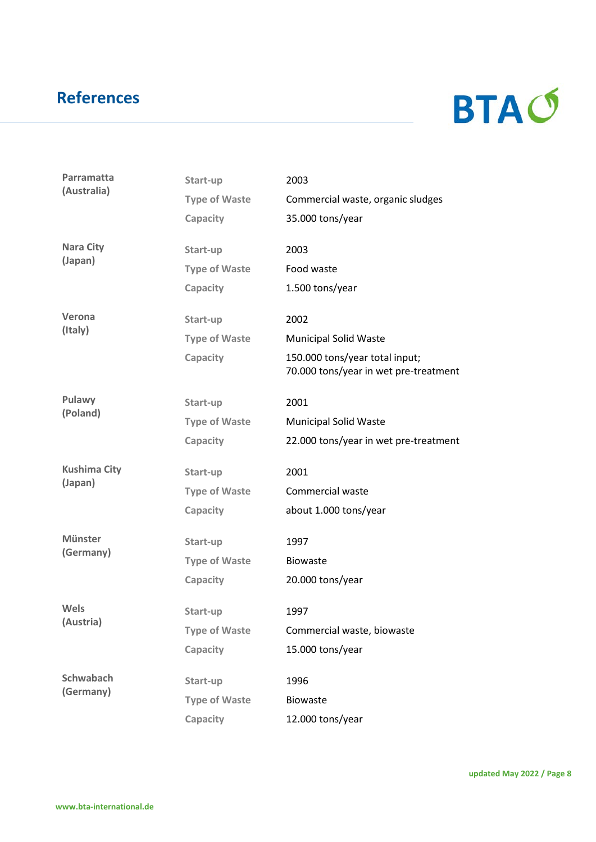

| Parramatta<br>(Australia) | Start-up             | 2003                                                                    |
|---------------------------|----------------------|-------------------------------------------------------------------------|
|                           | <b>Type of Waste</b> | Commercial waste, organic sludges                                       |
|                           | Capacity             | 35.000 tons/year                                                        |
| <b>Nara City</b>          | Start-up             | 2003                                                                    |
| (Japan)                   | <b>Type of Waste</b> | Food waste                                                              |
|                           | Capacity             | 1.500 tons/year                                                         |
| Verona                    | Start-up             | 2002                                                                    |
| (Italy)                   | <b>Type of Waste</b> | <b>Municipal Solid Waste</b>                                            |
|                           | Capacity             | 150.000 tons/year total input;<br>70.000 tons/year in wet pre-treatment |
| Pulawy                    | Start-up             | 2001                                                                    |
| (Poland)                  | <b>Type of Waste</b> | <b>Municipal Solid Waste</b>                                            |
|                           | Capacity             | 22.000 tons/year in wet pre-treatment                                   |
| <b>Kushima City</b>       | Start-up             | 2001                                                                    |
| (Japan)                   | <b>Type of Waste</b> | Commercial waste                                                        |
|                           | Capacity             | about 1.000 tons/year                                                   |
| <b>Münster</b>            | Start-up             | 1997                                                                    |
| (Germany)                 | <b>Type of Waste</b> | <b>Biowaste</b>                                                         |
|                           | Capacity             | 20.000 tons/year                                                        |
| Wels                      | Start-up             | 1997                                                                    |
| (Austria)                 | <b>Type of Waste</b> | Commercial waste, biowaste                                              |
|                           | Capacity             | 15.000 tons/year                                                        |
| <b>Schwabach</b>          | Start-up             | 1996                                                                    |
| (Germany)                 | <b>Type of Waste</b> | <b>Biowaste</b>                                                         |
|                           | Capacity             | 12.000 tons/year                                                        |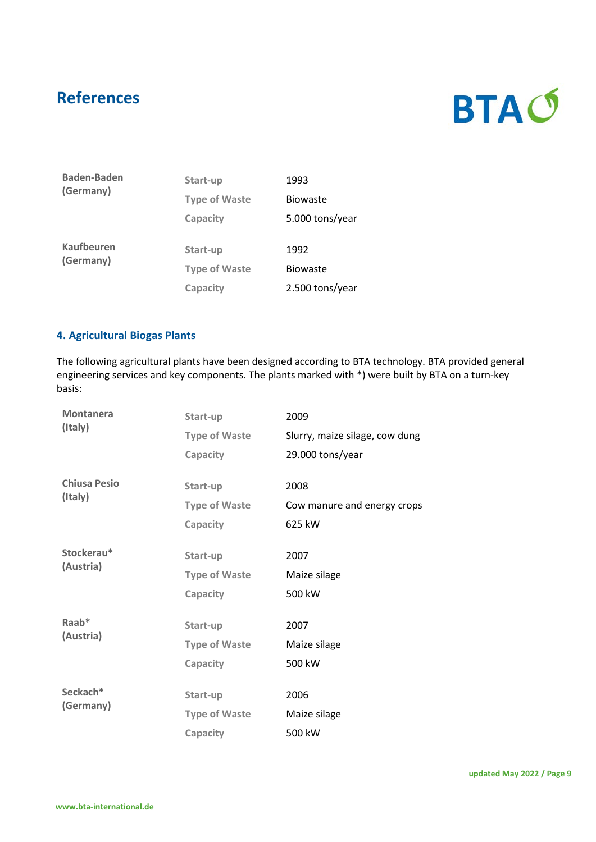

| <b>Baden-Baden</b><br>(Germany) | Start-up             | 1993            |
|---------------------------------|----------------------|-----------------|
|                                 | <b>Type of Waste</b> | <b>Biowaste</b> |
|                                 | Capacity             | 5.000 tons/year |
| <b>Kaufbeuren</b><br>(Germany)  | Start-up             | 1992            |
|                                 | <b>Type of Waste</b> | <b>Biowaste</b> |
|                                 | Capacity             | 2.500 tons/year |

#### **4. Agricultural Biogas Plants**

The following agricultural plants have been designed according to BTA technology. BTA provided general engineering services and key components. The plants marked with \*) were built by BTA on a turn-key basis:

| <b>Montanera</b>    | Start-up             | 2009                           |
|---------------------|----------------------|--------------------------------|
| (Italy)             | <b>Type of Waste</b> | Slurry, maize silage, cow dung |
|                     | Capacity             | 29.000 tons/year               |
| <b>Chiusa Pesio</b> | Start-up             | 2008                           |
| (Italy)             | <b>Type of Waste</b> | Cow manure and energy crops    |
|                     | Capacity             | 625 kW                         |
| Stockerau*          |                      | 2007                           |
| (Austria)           | Start-up             |                                |
|                     | <b>Type of Waste</b> | Maize silage                   |
|                     | Capacity             | 500 kW                         |
| Raab*               | Start-up             | 2007                           |
| (Austria)           | <b>Type of Waste</b> | Maize silage                   |
|                     | Capacity             | 500 kW                         |
|                     |                      |                                |
| Seckach*            | Start-up             | 2006                           |
| (Germany)           | <b>Type of Waste</b> | Maize silage                   |
|                     | Capacity             | 500 kW                         |